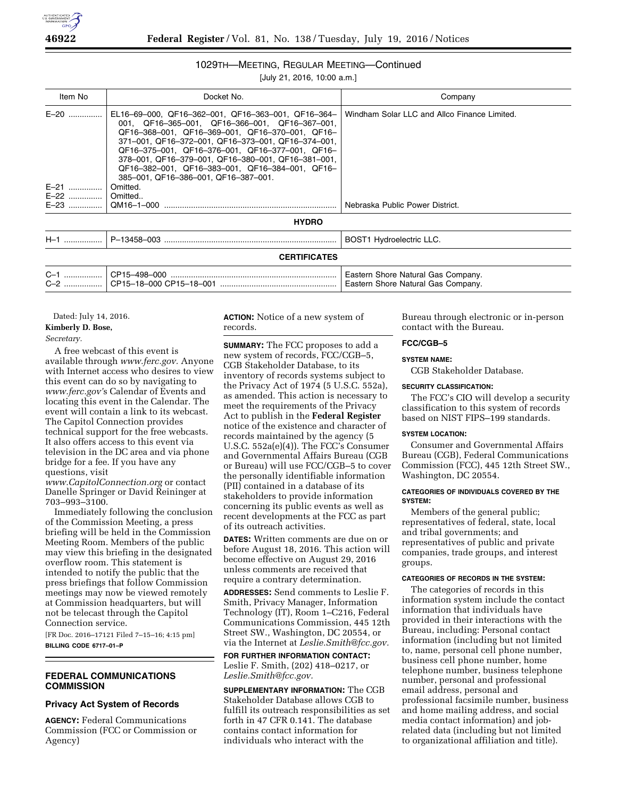

## 1029TH—MEETING, REGULAR MEETING—Continued

[July 21, 2016, 10:00 a.m.]

| Item No             | Docket No.                                                                                                                                                                                                                                                                                                                                                                                                        | Company                                      |  |
|---------------------|-------------------------------------------------------------------------------------------------------------------------------------------------------------------------------------------------------------------------------------------------------------------------------------------------------------------------------------------------------------------------------------------------------------------|----------------------------------------------|--|
| $E-20$<br>.         | EL16-69-000, QF16-362-001, QF16-363-001, QF16-364-<br>001. QF16-365-001. QF16-366-001. QF16-367-001.<br>QF16-368-001, QF16-369-001, QF16-370-001, QF16-<br>371-001, QF16-372-001, QF16-373-001, QF16-374-001,<br>QF16-375-001, QF16-376-001, QF16-377-001, QF16-<br>378-001, QF16-379-001, QF16-380-001, QF16-381-001,<br>QF16-382-001, QF16-383-001, QF16-384-001, QF16-<br>385-001, QF16-386-001, QF16-387-001, | Windham Solar LLC and Allco Finance Limited. |  |
| $E-21$              | Omitted.                                                                                                                                                                                                                                                                                                                                                                                                          |                                              |  |
| E-22                | Omitted                                                                                                                                                                                                                                                                                                                                                                                                           |                                              |  |
| E-23                | QM16-1-000                                                                                                                                                                                                                                                                                                                                                                                                        | Nebraska Public Power District.              |  |
| <b>HYDRO</b>        |                                                                                                                                                                                                                                                                                                                                                                                                                   |                                              |  |
| $H-1$               |                                                                                                                                                                                                                                                                                                                                                                                                                   | <b>BOST1 Hydroelectric LLC.</b>              |  |
| <b>CERTIFICATES</b> |                                                                                                                                                                                                                                                                                                                                                                                                                   |                                              |  |

| $C -$ | CP15-498-000                | Eastern Shore Natural Gas Company. |
|-------|-----------------------------|------------------------------------|
|       |                             |                                    |
| $C-2$ | . I CP15–18–000 CP15–18–001 | Eastern Shore Natural Gas Company. |

Dated: July 14, 2016. **Kimberly D. Bose,**  *Secretary.* 

A free webcast of this event is available through *www.ferc.gov.* Anyone with Internet access who desires to view this event can do so by navigating to *www.ferc.gov'*s Calendar of Events and locating this event in the Calendar. The event will contain a link to its webcast. The Capitol Connection provides technical support for the free webcasts. It also offers access to this event via television in the DC area and via phone bridge for a fee. If you have any questions, visit

*www.CapitolConnection.org* or contact Danelle Springer or David Reininger at 703–993–3100.

Immediately following the conclusion of the Commission Meeting, a press briefing will be held in the Commission Meeting Room. Members of the public may view this briefing in the designated overflow room. This statement is intended to notify the public that the press briefings that follow Commission meetings may now be viewed remotely at Commission headquarters, but will not be telecast through the Capitol Connection service.

[FR Doc. 2016–17121 Filed 7–15–16; 4:15 pm] **BILLING CODE 6717–01–P** 

## **FEDERAL COMMUNICATIONS COMMISSION**

# **Privacy Act System of Records**

**AGENCY:** Federal Communications Commission (FCC or Commission or Agency)

**ACTION:** Notice of a new system of records.

**SUMMARY:** The FCC proposes to add a new system of records, FCC/CGB–5, CGB Stakeholder Database, to its inventory of records systems subject to the Privacy Act of 1974 (5 U.S.C. 552a), as amended. This action is necessary to meet the requirements of the Privacy Act to publish in the **Federal Register**  notice of the existence and character of records maintained by the agency (5 U.S.C. 552a(e)(4)). The FCC's Consumer and Governmental Affairs Bureau (CGB or Bureau) will use FCC/CGB–5 to cover the personally identifiable information (PII) contained in a database of its stakeholders to provide information concerning its public events as well as recent developments at the FCC as part of its outreach activities.

**DATES:** Written comments are due on or before August 18, 2016. This action will become effective on August 29, 2016 unless comments are received that require a contrary determination.

**ADDRESSES:** Send comments to Leslie F. Smith, Privacy Manager, Information Technology (IT), Room 1–C216, Federal Communications Commission, 445 12th Street SW., Washington, DC 20554, or via the Internet at *Leslie.Smith@fcc.gov.* 

**FOR FURTHER INFORMATION CONTACT:**  Leslie F. Smith, (202) 418–0217, or *Leslie.Smith@fcc.gov.* 

**SUPPLEMENTARY INFORMATION:** The CGB Stakeholder Database allows CGB to fulfill its outreach responsibilities as set forth in 47 CFR 0.141. The database contains contact information for individuals who interact with the

Bureau through electronic or in-person contact with the Bureau.

## **FCC/CGB–5**

#### **SYSTEM NAME:**

CGB Stakeholder Database.

#### **SECURITY CLASSIFICATION:**

The FCC's CIO will develop a security classification to this system of records based on NIST FIPS–199 standards.

#### **SYSTEM LOCATION:**

Consumer and Governmental Affairs Bureau (CGB), Federal Communications Commission (FCC), 445 12th Street SW., Washington, DC 20554.

## **CATEGORIES OF INDIVIDUALS COVERED BY THE SYSTEM:**

Members of the general public; representatives of federal, state, local and tribal governments; and representatives of public and private companies, trade groups, and interest groups.

#### **CATEGORIES OF RECORDS IN THE SYSTEM:**

The categories of records in this information system include the contact information that individuals have provided in their interactions with the Bureau, including: Personal contact information (including but not limited to, name, personal cell phone number, business cell phone number, home telephone number, business telephone number, personal and professional email address, personal and professional facsimile number, business and home mailing address, and social media contact information) and jobrelated data (including but not limited to organizational affiliation and title).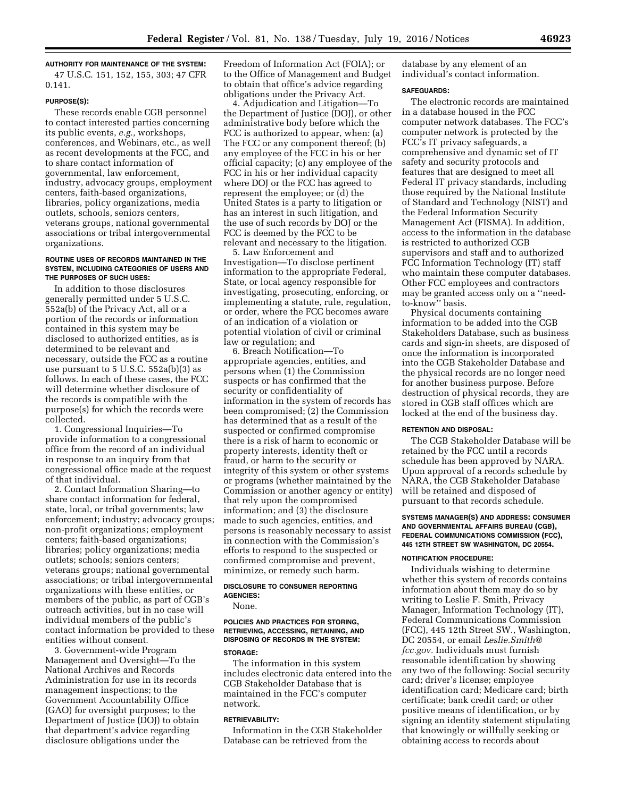**AUTHORITY FOR MAINTENANCE OF THE SYSTEM:** 

47 U.S.C. 151, 152, 155, 303; 47 CFR 0.141.

#### **PURPOSE(S):**

These records enable CGB personnel to contact interested parties concerning its public events, *e.g.,* workshops, conferences, and Webinars, etc., as well as recent developments at the FCC, and to share contact information of governmental, law enforcement, industry, advocacy groups, employment centers, faith-based organizations, libraries, policy organizations, media outlets, schools, seniors centers, veterans groups, national governmental associations or tribal intergovernmental organizations.

## **ROUTINE USES OF RECORDS MAINTAINED IN THE SYSTEM, INCLUDING CATEGORIES OF USERS AND THE PURPOSES OF SUCH USES:**

In addition to those disclosures generally permitted under 5 U.S.C. 552a(b) of the Privacy Act, all or a portion of the records or information contained in this system may be disclosed to authorized entities, as is determined to be relevant and necessary, outside the FCC as a routine use pursuant to 5 U.S.C. 552a(b)(3) as follows. In each of these cases, the FCC will determine whether disclosure of the records is compatible with the purpose(s) for which the records were collected.

1. Congressional Inquiries—To provide information to a congressional office from the record of an individual in response to an inquiry from that congressional office made at the request of that individual.

2. Contact Information Sharing—to share contact information for federal, state, local, or tribal governments; law enforcement; industry; advocacy groups; non-profit organizations; employment centers; faith-based organizations; libraries; policy organizations; media outlets; schools; seniors centers; veterans groups; national governmental associations; or tribal intergovernmental organizations with these entities, or members of the public, as part of CGB's outreach activities, but in no case will individual members of the public's contact information be provided to these entities without consent.

3. Government-wide Program Management and Oversight—To the National Archives and Records Administration for use in its records management inspections; to the Government Accountability Office (GAO) for oversight purposes; to the Department of Justice (DOJ) to obtain that department's advice regarding disclosure obligations under the

Freedom of Information Act (FOIA); or to the Office of Management and Budget to obtain that office's advice regarding obligations under the Privacy Act.

4. Adjudication and Litigation—To the Department of Justice (DOJ), or other administrative body before which the FCC is authorized to appear, when: (a) The FCC or any component thereof; (b) any employee of the FCC in his or her official capacity; (c) any employee of the FCC in his or her individual capacity where DOJ or the FCC has agreed to represent the employee; or (d) the United States is a party to litigation or has an interest in such litigation, and the use of such records by DOJ or the FCC is deemed by the FCC to be relevant and necessary to the litigation.

5. Law Enforcement and Investigation—To disclose pertinent information to the appropriate Federal, State, or local agency responsible for investigating, prosecuting, enforcing, or implementing a statute, rule, regulation, or order, where the FCC becomes aware of an indication of a violation or potential violation of civil or criminal law or regulation; and

6. Breach Notification—To appropriate agencies, entities, and persons when (1) the Commission suspects or has confirmed that the security or confidentiality of information in the system of records has been compromised; (2) the Commission has determined that as a result of the suspected or confirmed compromise there is a risk of harm to economic or property interests, identity theft or fraud, or harm to the security or integrity of this system or other systems or programs (whether maintained by the Commission or another agency or entity) that rely upon the compromised information; and (3) the disclosure made to such agencies, entities, and persons is reasonably necessary to assist in connection with the Commission's efforts to respond to the suspected or confirmed compromise and prevent, minimize, or remedy such harm.

#### **DISCLOSURE TO CONSUMER REPORTING AGENCIES:**

None.

#### **POLICIES AND PRACTICES FOR STORING, RETRIEVING, ACCESSING, RETAINING, AND DISPOSING OF RECORDS IN THE SYSTEM:**

#### **STORAGE:**

The information in this system includes electronic data entered into the CGB Stakeholder Database that is maintained in the FCC's computer network.

#### **RETRIEVABILITY:**

Information in the CGB Stakeholder Database can be retrieved from the

database by any element of an individual's contact information.

## **SAFEGUARDS:**

The electronic records are maintained in a database housed in the FCC computer network databases. The FCC's computer network is protected by the FCC's IT privacy safeguards, a comprehensive and dynamic set of IT safety and security protocols and features that are designed to meet all Federal IT privacy standards, including those required by the National Institute of Standard and Technology (NIST) and the Federal Information Security Management Act (FISMA). In addition, access to the information in the database is restricted to authorized CGB supervisors and staff and to authorized FCC Information Technology (IT) staff who maintain these computer databases. Other FCC employees and contractors may be granted access only on a ''needto-know'' basis.

Physical documents containing information to be added into the CGB Stakeholders Database, such as business cards and sign-in sheets, are disposed of once the information is incorporated into the CGB Stakeholder Database and the physical records are no longer need for another business purpose. Before destruction of physical records, they are stored in CGB staff offices which are locked at the end of the business day.

## **RETENTION AND DISPOSAL:**

The CGB Stakeholder Database will be retained by the FCC until a records schedule has been approved by NARA. Upon approval of a records schedule by NARA, the CGB Stakeholder Database will be retained and disposed of pursuant to that records schedule.

#### **SYSTEMS MANAGER(S) AND ADDRESS: CONSUMER AND GOVERNMENTAL AFFAIRS BUREAU (CGB), FEDERAL COMMUNICATIONS COMMISSION (FCC), 445 12TH STREET SW WASHINGTON, DC 20554.**

## **NOTIFICATION PROCEDURE:**

Individuals wishing to determine whether this system of records contains information about them may do so by writing to Leslie F. Smith, Privacy Manager, Information Technology (IT), Federal Communications Commission (FCC), 445 12th Street SW., Washington, DC 20554, or email *Leslie.Smith@ fcc.gov.* Individuals must furnish reasonable identification by showing any two of the following: Social security card; driver's license; employee identification card; Medicare card; birth certificate; bank credit card; or other positive means of identification, or by signing an identity statement stipulating that knowingly or willfully seeking or obtaining access to records about